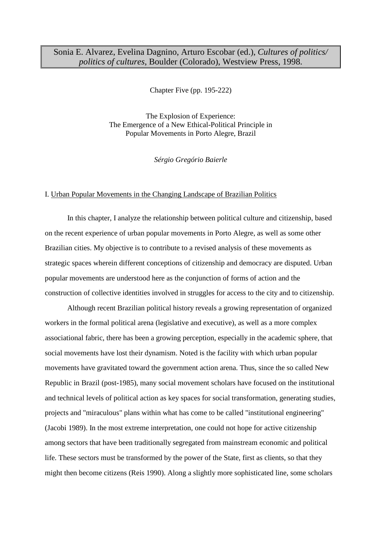# Sonia E. Alvarez, Evelina Dagnino, Arturo Escobar (ed.), *Cultures of politics/ politics of cultures*, Boulder (Colorado), Westview Press, 1998.

Chapter Five (pp. 195-222)

The Explosion of Experience: The Emergence of a New Ethical-Political Principle in Popular Movements in Porto Alegre, Brazil

*Sérgio Gregório Baierle*

# I. Urban Popular Movements in the Changing Landscape of Brazilian Politics

 In this chapter, I analyze the relationship between political culture and citizenship, based on the recent experience of urban popular movements in Porto Alegre, as well as some other Brazilian cities. My objective is to contribute to a revised analysis of these movements as strategic spaces wherein different conceptions of citizenship and democracy are disputed. Urban popular movements are understood here as the conjunction of forms of action and the construction of collective identities involved in struggles for access to the city and to citizenship.

 Although recent Brazilian political history reveals a growing representation of organized workers in the formal political arena (legislative and executive), as well as a more complex associational fabric, there has been a growing perception, especially in the academic sphere, that social movements have lost their dynamism. Noted is the facility with which urban popular movements have gravitated toward the government action arena. Thus, since the so called New Republic in Brazil (post-1985), many social movement scholars have focused on the institutional and technical levels of political action as key spaces for social transformation, generating studies, projects and "miraculous" plans within what has come to be called "institutional engineering" (Jacobi 1989). In the most extreme interpretation, one could not hope for active citizenship among sectors that have been traditionally segregated from mainstream economic and political life. These sectors must be transformed by the power of the State, first as clients, so that they might then become citizens (Reis 1990). Along a slightly more sophisticated line, some scholars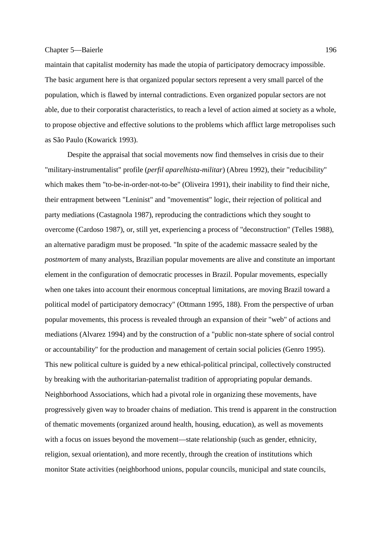maintain that capitalist modernity has made the utopia of participatory democracy impossible. The basic argument here is that organized popular sectors represent a very small parcel of the population, which is flawed by internal contradictions. Even organized popular sectors are not able, due to their corporatist characteristics, to reach a level of action aimed at society as a whole, to propose objective and effective solutions to the problems which afflict large metropolises such as São Paulo (Kowarick 1993).

 Despite the appraisal that social movements now find themselves in crisis due to their "military-instrumentalist" profile (*perfil aparelhista-militar*) (Abreu 1992), their "reducibility" which makes them "to-be-in-order-not-to-be" (Oliveira 1991), their inability to find their niche, their entrapment between "Leninist" and "movementist" logic, their rejection of political and party mediations (Castagnola 1987), reproducing the contradictions which they sought to overcome (Cardoso 1987), or, still yet, experiencing a process of "deconstruction" (Telles 1988), an alternative paradigm must be proposed. "In spite of the academic massacre sealed by the *postmortem* of many analysts, Brazilian popular movements are alive and constitute an important element in the configuration of democratic processes in Brazil. Popular movements, especially when one takes into account their enormous conceptual limitations*,* are moving Brazil toward a political model of participatory democracy" (Ottmann 1995, 188). From the perspective of urban popular movements, this process is revealed through an expansion of their "web" of actions and mediations (Alvarez 1994) and by the construction of a "public non-state sphere of social control or accountability" for the production and management of certain social policies (Genro 1995). This new political culture is guided by a new ethical-political principal, collectively constructed by breaking with the authoritarian-paternalist tradition of appropriating popular demands. Neighborhood Associations, which had a pivotal role in organizing these movements, have progressively given way to broader chains of mediation. This trend is apparent in the construction of thematic movements (organized around health, housing, education), as well as movements with a focus on issues beyond the movement—state relationship (such as gender, ethnicity, religion, sexual orientation), and more recently, through the creation of institutions which monitor State activities (neighborhood unions, popular councils, municipal and state councils,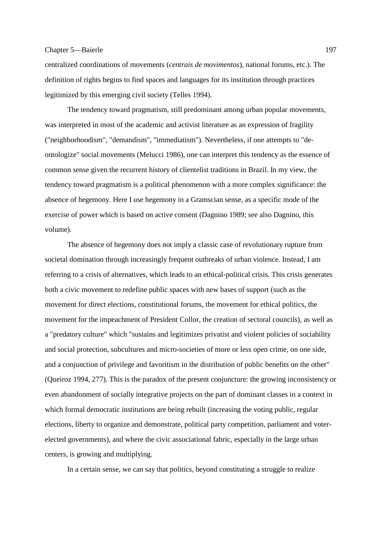centralized coordinations of movements (*centrais de movimentos*), national forums, etc.). The definition of rights begins to find spaces and languages for its institution through practices legitimized by this emerging civil society (Telles 1994).

 The tendency toward pragmatism, still predominant among urban popular movements, was interpreted in most of the academic and activist literature as an expression of fragility ("neighborhoodism", "demandism", "immediatism"). Nevertheless, if one attempts to "deontologize" social movements (Melucci 1986), one can interpret this tendency as the essence of common sense given the recurrent history of clientelist traditions in Brazil. In my view, the tendency toward pragmatism is a political phenomenon with a more complex significance: the absence of hegemony. Here I use hegemony in a Gramscian sense, as a specific mode of the exercise of power which is based on active consent (Dagnino 1989; see also Dagnino, this volume).

 The absence of hegemony does not imply a classic case of revolutionary rupture from societal domination through increasingly frequent outbreaks of urban violence. Instead, I am referring to a crisis of alternatives, which leads to an ethical-political crisis. This crisis generates both a civic movement to redefine public spaces with new bases of support (such as the movement for direct elections, constitutional forums, the movement for ethical politics, the movement for the impeachment of President Collor, the creation of sectoral councils), as well as a "predatory culture" which "sustains and legitimizes privatist and violent policies of sociability and social protection, subcultures and micro-societies of more or less open crime, on one side, and a conjunction of privilege and favoritism in the distribution of public benefits on the other" (Queiroz 1994, 277). This is the paradox of the present conjuncture: the growing inconsistency or even abandonment of socially integrative projects on the part of dominant classes in a context in which formal democratic institutions are being rebuilt (increasing the voting public, regular elections, liberty to organize and demonstrate, political party competition, parliament and voterelected governments), and where the civic associational fabric, especially in the large urban centers, is growing and multiplying.

In a certain sense, we can say that politics, beyond constituting a struggle to realize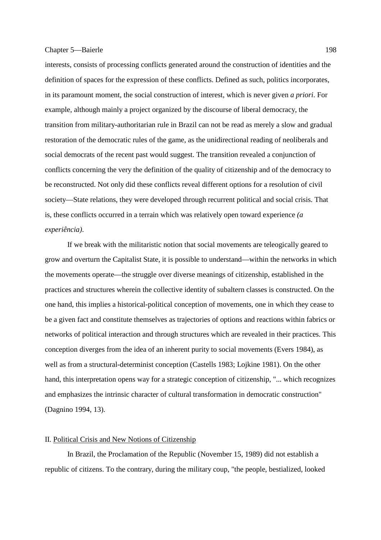interests, consists of processing conflicts generated around the construction of identities and the definition of spaces for the expression of these conflicts. Defined as such, politics incorporates, in its paramount moment, the social construction of interest, which is never given *a priori*. For example, although mainly a project organized by the discourse of liberal democracy, the transition from military-authoritarian rule in Brazil can not be read as merely a slow and gradual restoration of the democratic rules of the game, as the unidirectional reading of neoliberals and social democrats of the recent past would suggest. The transition revealed a conjunction of conflicts concerning the very the definition of the quality of citizenship and of the democracy to be reconstructed. Not only did these conflicts reveal different options for a resolution of civil society—State relations, they were developed through recurrent political and social crisis. That is, these conflicts occurred in a terrain which was relatively open toward experience *(a experiência)*.

 If we break with the militaristic notion that social movements are teleogically geared to grow and overturn the Capitalist State, it is possible to understand—within the networks in which the movements operate—the struggle over diverse meanings of citizenship, established in the practices and structures wherein the collective identity of subaltern classes is constructed. On the one hand, this implies a historical-political conception of movements, one in which they cease to be a given fact and constitute themselves as trajectories of options and reactions within fabrics or networks of political interaction and through structures which are revealed in their practices. This conception diverges from the idea of an inherent purity to social movements (Evers 1984), as well as from a structural-determinist conception (Castells 1983; Lojkine 1981). On the other hand, this interpretation opens way for a strategic conception of citizenship, "... which recognizes and emphasizes the intrinsic character of cultural transformation in democratic construction" (Dagnino 1994, 13).

### II. Political Crisis and New Notions of Citizenship

 In Brazil, the Proclamation of the Republic (November 15, 1989) did not establish a republic of citizens. To the contrary, during the military coup, "the people, bestialized, looked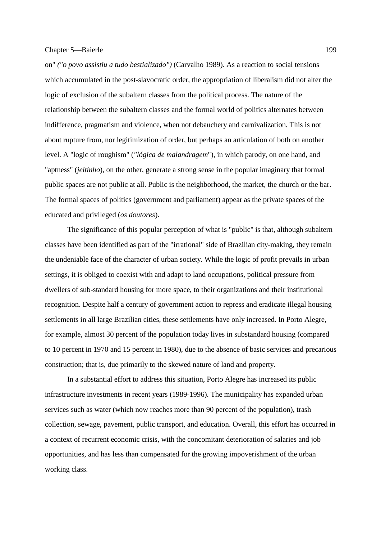on" *("o povo assistiu a tudo bestializado")* (Carvalho 1989). As a reaction to social tensions which accumulated in the post-slavocratic order, the appropriation of liberalism did not alter the logic of exclusion of the subaltern classes from the political process. The nature of the relationship between the subaltern classes and the formal world of politics alternates between indifference, pragmatism and violence, when not debauchery and carnivalization. This is not about rupture from, nor legitimization of order, but perhaps an articulation of both on another level. A "logic of roughism" (*"lógica de malandragem*"), in which parody, on one hand, and "aptness" (*jeitinho*), on the other, generate a strong sense in the popular imaginary that formal public spaces are not public at all. Public is the neighborhood, the market, the church or the bar. The formal spaces of politics (government and parliament) appear as the private spaces of the educated and privileged (*os doutores*).

 The significance of this popular perception of what is "public" is that, although subaltern classes have been identified as part of the "irrational" side of Brazilian city-making, they remain the undeniable face of the character of urban society. While the logic of profit prevails in urban settings, it is obliged to coexist with and adapt to land occupations, political pressure from dwellers of sub-standard housing for more space, to their organizations and their institutional recognition. Despite half a century of government action to repress and eradicate illegal housing settlements in all large Brazilian cities, these settlements have only increased. In Porto Alegre, for example, almost 30 percent of the population today lives in substandard housing (compared to 10 percent in 1970 and 15 percent in 1980), due to the absence of basic services and precarious construction; that is, due primarily to the skewed nature of land and property.

 In a substantial effort to address this situation, Porto Alegre has increased its public infrastructure investments in recent years (1989-1996). The municipality has expanded urban services such as water (which now reaches more than 90 percent of the population), trash collection, sewage, pavement, public transport, and education. Overall, this effort has occurred in a context of recurrent economic crisis, with the concomitant deterioration of salaries and job opportunities, and has less than compensated for the growing impoverishment of the urban working class.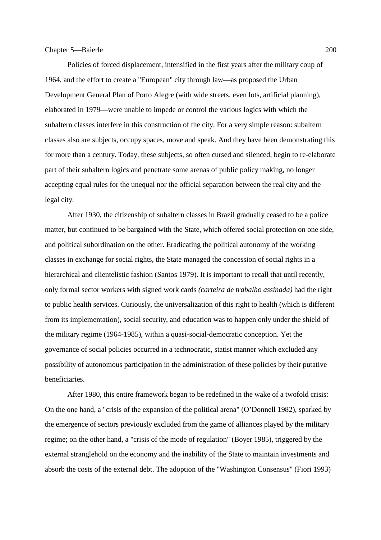Policies of forced displacement, intensified in the first years after the military coup of 1964, and the effort to create a "European" city through law—as proposed the Urban Development General Plan of Porto Alegre (with wide streets, even lots, artificial planning), elaborated in 1979—were unable to impede or control the various logics with which the subaltern classes interfere in this construction of the city. For a very simple reason: subaltern classes also are subjects, occupy spaces, move and speak. And they have been demonstrating this for more than a century. Today, these subjects, so often cursed and silenced, begin to re-elaborate part of their subaltern logics and penetrate some arenas of public policy making, no longer accepting equal rules for the unequal nor the official separation between the real city and the legal city.

 After 1930, the citizenship of subaltern classes in Brazil gradually ceased to be a police matter, but continued to be bargained with the State, which offered social protection on one side, and political subordination on the other. Eradicating the political autonomy of the working classes in exchange for social rights, the State managed the concession of social rights in a hierarchical and clientelistic fashion (Santos 1979). It is important to recall that until recently, only formal sector workers with signed work cards *(carteira de trabalho assinada)* had the right to public health services. Curiously, the universalization of this right to health (which is different from its implementation), social security, and education was to happen only under the shield of the military regime (1964-1985), within a quasi-social-democratic conception. Yet the governance of social policies occurred in a technocratic, statist manner which excluded any possibility of autonomous participation in the administration of these policies by their putative beneficiaries.

 After 1980, this entire framework began to be redefined in the wake of a twofold crisis: On the one hand, a "crisis of the expansion of the political arena" (O'Donnell 1982), sparked by the emergence of sectors previously excluded from the game of alliances played by the military regime; on the other hand, a "crisis of the mode of regulation" (Boyer 1985), triggered by the external stranglehold on the economy and the inability of the State to maintain investments and absorb the costs of the external debt. The adoption of the "Washington Consensus" (Fiori 1993)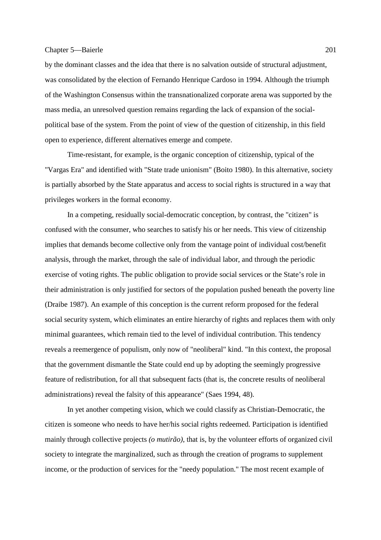by the dominant classes and the idea that there is no salvation outside of structural adjustment, was consolidated by the election of Fernando Henrique Cardoso in 1994. Although the triumph of the Washington Consensus within the transnationalized corporate arena was supported by the mass media, an unresolved question remains regarding the lack of expansion of the socialpolitical base of the system. From the point of view of the question of citizenship, in this field open to experience, different alternatives emerge and compete.

 Time-resistant, for example, is the organic conception of citizenship, typical of the "Vargas Era" and identified with "State trade unionism" (Boito 1980). In this alternative, society is partially absorbed by the State apparatus and access to social rights is structured in a way that privileges workers in the formal economy.

 In a competing, residually social-democratic conception, by contrast, the "citizen" is confused with the consumer, who searches to satisfy his or her needs. This view of citizenship implies that demands become collective only from the vantage point of individual cost/benefit analysis, through the market, through the sale of individual labor, and through the periodic exercise of voting rights. The public obligation to provide social services or the State's role in their administration is only justified for sectors of the population pushed beneath the poverty line (Draibe 1987). An example of this conception is the current reform proposed for the federal social security system, which eliminates an entire hierarchy of rights and replaces them with only minimal guarantees, which remain tied to the level of individual contribution. This tendency reveals a reemergence of populism, only now of "neoliberal" kind. "In this context, the proposal that the government dismantle the State could end up by adopting the seemingly progressive feature of redistribution, for all that subsequent facts (that is, the concrete results of neoliberal administrations) reveal the falsity of this appearance" (Saes 1994, 48).

 In yet another competing vision, which we could classify as Christian-Democratic, the citizen is someone who needs to have her/his social rights redeemed. Participation is identified mainly through collective projects *(o mutirão)*, that is, by the volunteer efforts of organized civil society to integrate the marginalized, such as through the creation of programs to supplement income, or the production of services for the "needy population." The most recent example of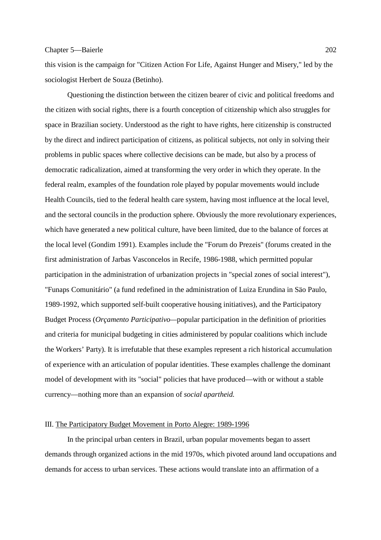this vision is the campaign for "Citizen Action For Life, Against Hunger and Misery," led by the sociologist Herbert de Souza (Betinho).

 Questioning the distinction between the citizen bearer of civic and political freedoms and the citizen with social rights, there is a fourth conception of citizenship which also struggles for space in Brazilian society. Understood as the right to have rights, here citizenship is constructed by the direct and indirect participation of citizens, as political subjects, not only in solving their problems in public spaces where collective decisions can be made, but also by a process of democratic radicalization, aimed at transforming the very order in which they operate. In the federal realm, examples of the foundation role played by popular movements would include Health Councils, tied to the federal health care system, having most influence at the local level, and the sectoral councils in the production sphere. Obviously the more revolutionary experiences, which have generated a new political culture, have been limited, due to the balance of forces at the local level (Gondim 1991). Examples include the "Forum do Prezeis" (forums created in the first administration of Jarbas Vasconcelos in Recife, 1986-1988, which permitted popular participation in the administration of urbanization projects in "special zones of social interest"), "Funaps Comunitário" (a fund redefined in the administration of Luiza Erundina in Säo Paulo, 1989-1992, which supported self-built cooperative housing initiatives), and the Participatory Budget Process (*Orçamento Participativo—*popular participation in the definition of priorities and criteria for municipal budgeting in cities administered by popular coalitions which include the Workers' Party). It is irrefutable that these examples represent a rich historical accumulation of experience with an articulation of popular identities. These examples challenge the dominant model of development with its "social" policies that have produced—with or without a stable currency—nothing more than an expansion of *social apartheid.* 

# III. The Participatory Budget Movement in Porto Alegre: 1989-1996

 In the principal urban centers in Brazil, urban popular movements began to assert demands through organized actions in the mid 1970s, which pivoted around land occupations and demands for access to urban services. These actions would translate into an affirmation of a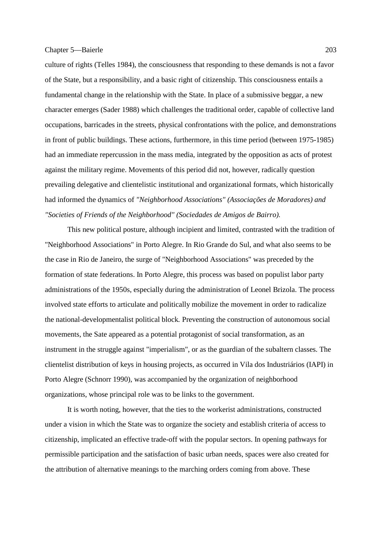culture of rights (Telles 1984), the consciousness that responding to these demands is not a favor of the State, but a responsibility, and a basic right of citizenship. This consciousness entails a fundamental change in the relationship with the State. In place of a submissive beggar, a new character emerges (Sader 1988) which challenges the traditional order, capable of collective land occupations, barricades in the streets, physical confrontations with the police, and demonstrations in front of public buildings. These actions, furthermore, in this time period (between 1975-1985) had an immediate repercussion in the mass media, integrated by the opposition as acts of protest against the military regime. Movements of this period did not, however, radically question prevailing delegative and clientelistic institutional and organizational formats, which historically had informed the dynamics of *"Neighborhood Associations" (Associações de Moradores) and "Societies of Friends of the Neighborhood" (Sociedades de Amigos de Bairro).*

 This new political posture, although incipient and limited, contrasted with the tradition of "Neighborhood Associations" in Porto Alegre. In Rio Grande do Sul, and what also seems to be the case in Rio de Janeiro, the surge of "Neighborhood Associations" was preceded by the formation of state federations. In Porto Alegre, this process was based on populist labor party administrations of the 1950s, especially during the administration of Leonel Brizola. The process involved state efforts to articulate and politically mobilize the movement in order to radicalize the national-developmentalist political block*.* Preventing the construction of autonomous social movements, the Sate appeared as a potential protagonist of social transformation, as an instrument in the struggle against "imperialism", or as the guardian of the subaltern classes. The clientelist distribution of keys in housing projects, as occurred in Vila dos Industriários (IAPI) in Porto Alegre (Schnorr 1990), was accompanied by the organization of neighborhood organizations, whose principal role was to be links to the government.

 It is worth noting, however, that the ties to the workerist administrations, constructed under a vision in which the State was to organize the society and establish criteria of access to citizenship, implicated an effective trade-off with the popular sectors. In opening pathways for permissible participation and the satisfaction of basic urban needs, spaces were also created for the attribution of alternative meanings to the marching orders coming from above. These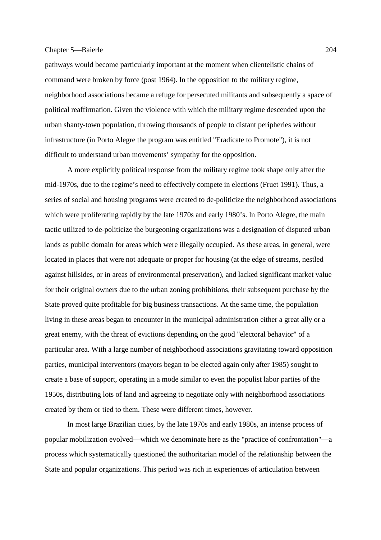pathways would become particularly important at the moment when clientelistic chains of command were broken by force (post 1964). In the opposition to the military regime, neighborhood associations became a refuge for persecuted militants and subsequently a space of political reaffirmation. Given the violence with which the military regime descended upon the urban shanty-town population, throwing thousands of people to distant peripheries without infrastructure (in Porto Alegre the program was entitled "Eradicate to Promote"), it is not difficult to understand urban movements' sympathy for the opposition.

 A more explicitly political response from the military regime took shape only after the mid-1970s, due to the regime's need to effectively compete in elections (Fruet 1991). Thus, a series of social and housing programs were created to de-politicize the neighborhood associations which were proliferating rapidly by the late 1970s and early 1980's. In Porto Alegre, the main tactic utilized to de-politicize the burgeoning organizations was a designation of disputed urban lands as public domain for areas which were illegally occupied. As these areas, in general, were located in places that were not adequate or proper for housing (at the edge of streams, nestled against hillsides, or in areas of environmental preservation), and lacked significant market value for their original owners due to the urban zoning prohibitions, their subsequent purchase by the State proved quite profitable for big business transactions. At the same time, the population living in these areas began to encounter in the municipal administration either a great ally or a great enemy, with the threat of evictions depending on the good "electoral behavior" of a particular area. With a large number of neighborhood associations gravitating toward opposition parties, municipal interventors (mayors began to be elected again only after 1985) sought to create a base of support, operating in a mode similar to even the populist labor parties of the 1950s, distributing lots of land and agreeing to negotiate only with neighborhood associations created by them or tied to them. These were different times, however.

 In most large Brazilian cities, by the late 1970s and early 1980s, an intense process of popular mobilization evolved—which we denominate here as the "practice of confrontation"—a process which systematically questioned the authoritarian model of the relationship between the State and popular organizations. This period was rich in experiences of articulation between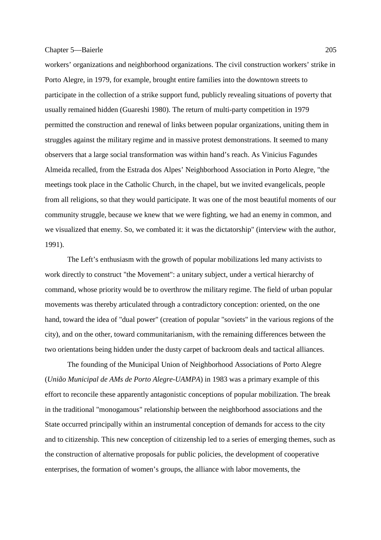workers' organizations and neighborhood organizations. The civil construction workers' strike in Porto Alegre, in 1979, for example, brought entire families into the downtown streets to participate in the collection of a strike support fund, publicly revealing situations of poverty that usually remained hidden (Guareshi 1980). The return of multi-party competition in 1979 permitted the construction and renewal of links between popular organizations, uniting them in struggles against the military regime and in massive protest demonstrations. It seemed to many observers that a large social transformation was within hand's reach. As Vinicius Fagundes Almeida recalled, from the Estrada dos Alpes' Neighborhood Association in Porto Alegre, "the meetings took place in the Catholic Church, in the chapel, but we invited evangelicals, people from all religions, so that they would participate. It was one of the most beautiful moments of our community struggle, because we knew that we were fighting, we had an enemy in common, and we visualized that enemy. So, we combated it: it was the dictatorship" (interview with the author, 1991).

 The Left's enthusiasm with the growth of popular mobilizations led many activists to work directly to construct "the Movement": a unitary subject, under a vertical hierarchy of command, whose priority would be to overthrow the military regime. The field of urban popular movements was thereby articulated through a contradictory conception: oriented, on the one hand, toward the idea of "dual power" (creation of popular "soviets" in the various regions of the city), and on the other, toward communitarianism, with the remaining differences between the two orientations being hidden under the dusty carpet of backroom deals and tactical alliances.

 The founding of the Municipal Union of Neighborhood Associations of Porto Alegre (*União Municipal de AMs de Porto Alegre-UAMPA*) in 1983 was a primary example of this effort to reconcile these apparently antagonistic conceptions of popular mobilization. The break in the traditional "monogamous" relationship between the neighborhood associations and the State occurred principally within an instrumental conception of demands for access to the city and to citizenship. This new conception of citizenship led to a series of emerging themes, such as the construction of alternative proposals for public policies, the development of cooperative enterprises, the formation of women's groups, the alliance with labor movements, the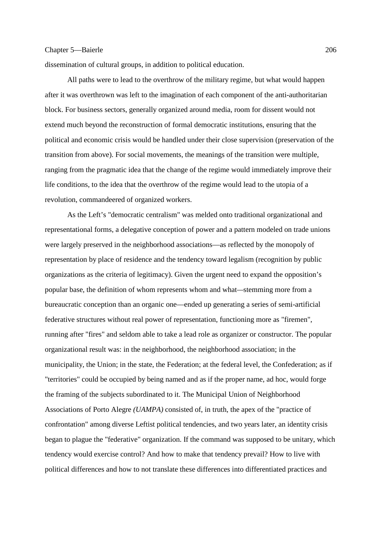dissemination of cultural groups, in addition to political education.

 All paths were to lead to the overthrow of the military regime, but what would happen after it was overthrown was left to the imagination of each component of the anti-authoritarian block. For business sectors, generally organized around media, room for dissent would not extend much beyond the reconstruction of formal democratic institutions, ensuring that the political and economic crisis would be handled under their close supervision (preservation of the transition from above). For social movements, the meanings of the transition were multiple, ranging from the pragmatic idea that the change of the regime would immediately improve their life conditions, to the idea that the overthrow of the regime would lead to the utopia of a revolution, commandeered of organized workers.

 As the Left's "democratic centralism" was melded onto traditional organizational and representational forms, a delegative conception of power and a pattern modeled on trade unions were largely preserved in the neighborhood associations—as reflected by the monopoly of representation by place of residence and the tendency toward legalism (recognition by public organizations as the criteria of legitimacy). Given the urgent need to expand the opposition's popular base, the definition of whom represents whom and what*—*stemming more from a bureaucratic conception than an organic one—ended up generating a series of semi-artificial federative structures without real power of representation, functioning more as "firemen", running after "fires" and seldom able to take a lead role as organizer or constructor. The popular organizational result was: in the neighborhood, the neighborhood association; in the municipality, the Union; in the state, the Federation; at the federal level, the Confederation; as if "territories" could be occupied by being named and as if the proper name, ad hoc, would forge the framing of the subjects subordinated to it. The Municipal Union of Neighborhood Associations of Porto Alegre *(UAMPA)* consisted of, in truth, the apex of the "practice of confrontation" among diverse Leftist political tendencies, and two years later, an identity crisis began to plague the "federative" organization. If the command was supposed to be unitary, which tendency would exercise control? And how to make that tendency prevail? How to live with political differences and how to not translate these differences into differentiated practices and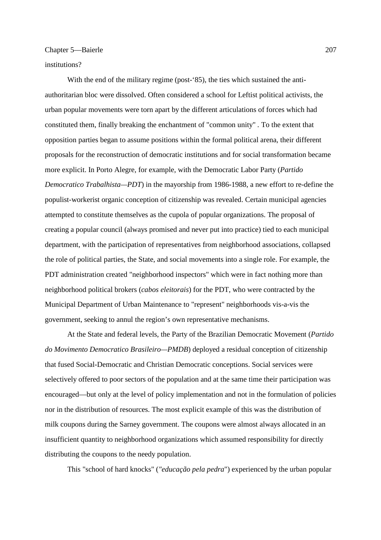# institutions?

With the end of the military regime (post-'85), the ties which sustained the antiauthoritarian bloc were dissolved. Often considered a school for Leftist political activists, the urban popular movements were torn apart by the different articulations of forces which had constituted them, finally breaking the enchantment of "common unity" *.* To the extent that opposition parties began to assume positions within the formal political arena, their different proposals for the reconstruction of democratic institutions and for social transformation became more explicit. In Porto Alegre, for example, with the Democratic Labor Party (*Partido Democratico Trabalhista—PDT*) in the mayorship from 1986-1988, a new effort to re-define the populist-workerist organic conception of citizenship was revealed. Certain municipal agencies attempted to constitute themselves as the cupola of popular organizations. The proposal of creating a popular council (always promised and never put into practice) tied to each municipal department, with the participation of representatives from neighborhood associations, collapsed the role of political parties, the State, and social movements into a single role. For example, the PDT administration created "neighborhood inspectors" which were in fact nothing more than neighborhood political brokers (*cabos eleitorais*) for the PDT, who were contracted by the Municipal Department of Urban Maintenance to "represent" neighborhoods vis-a-vis the government, seeking to annul the region's own representative mechanisms.

 At the State and federal levels, the Party of the Brazilian Democratic Movement (*Partido do Movimento Democratico Brasileiro—PMDB*) deployed a residual conception of citizenship that fused Social-Democratic and Christian Democratic conceptions. Social services were selectively offered to poor sectors of the population and at the same time their participation was encouraged—but only at the level of policy implementation and not in the formulation of policies nor in the distribution of resources. The most explicit example of this was the distribution of milk coupons during the Sarney government. The coupons were almost always allocated in an insufficient quantity to neighborhood organizations which assumed responsibility for directly distributing the coupons to the needy population.

This "school of hard knocks" (*"educação pela pedra*") experienced by the urban popular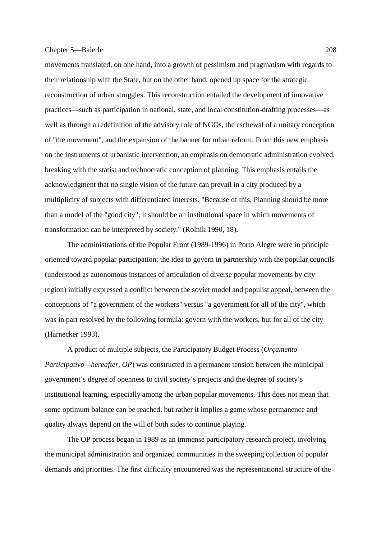movements translated, on one hand, into a growth of pessimism and pragmatism with regards to their relationship with the State, but on the other hand, opened up space for the strategic reconstruction of urban struggles. This reconstruction entailed the development of innovative practices—such as participation in national, state, and local constitution-drafting processes—as well as through a redefinition of the advisory role of NGOs, the eschewal of a unitary conception of "the movement", and the expansion of the banner for urban reform. From this new emphasis on the instruments of urbanistic intervention, an emphasis on democratic administration evolved, breaking with the statist and technocratic conception of planning. This emphasis entails the acknowledgment that no single vision of the future can prevail in a city produced by a multiplicity of subjects with differentiated interests. "Because of this, Planning should be more than a model of the "good city"; it should be an institutional space in which movements of transformation can be interpreted by society." (Rolnik 1990, 18).

 The administrations of the Popular Front (1989-1996) in Porto Alegre were in principle oriented toward popular participation; the idea to govern in partnership with the popular councils (understood as autonomous instances of articulation of diverse popular movements by city region) initially expressed a conflict between the soviet model and populist appeal, between the conceptions of "a government of the workers" versus "a government for all of the city", which was in part resolved by the following formula: govern with the workers, but for all of the city (Harnecker 1993).

 A product of multiple subjects, the Participatory Budget Process (*Orçamento Participativo—hereafter, OP*) was constructed in a permanent tension between the municipal government's degree of openness to civil society's projects and the degree of society's institutional learning, especially among the urban popular movements. This does not mean that some optimum balance can be reached, but rather it implies a game whose permanence and quality always depend on the will of both sides to continue playing*.* 

 The OP process began in 1989 as an immense participatory research project, involving the municipal administration and organized communities in the sweeping collection of popular demands and priorities. The first difficulty encountered was the representational structure of the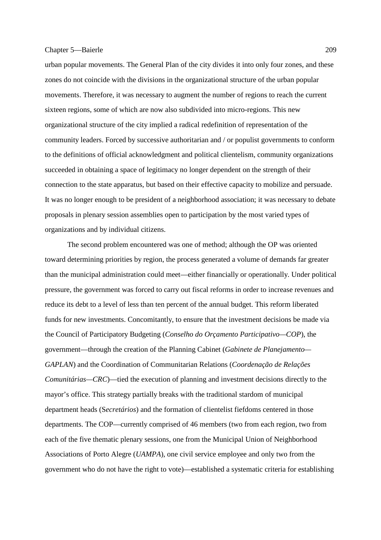urban popular movements. The General Plan of the city divides it into only four zones, and these zones do not coincide with the divisions in the organizational structure of the urban popular movements. Therefore, it was necessary to augment the number of regions to reach the current sixteen regions, some of which are now also subdivided into micro-regions. This new organizational structure of the city implied a radical redefinition of representation of the community leaders. Forced by successive authoritarian and / or populist governments to conform to the definitions of official acknowledgment and political clientelism, community organizations succeeded in obtaining a space of legitimacy no longer dependent on the strength of their connection to the state apparatus, but based on their effective capacity to mobilize and persuade. It was no longer enough to be president of a neighborhood association; it was necessary to debate proposals in plenary session assemblies open to participation by the most varied types of organizations and by individual citizens.

 The second problem encountered was one of method; although the OP was oriented toward determining priorities by region, the process generated a volume of demands far greater than the municipal administration could meet—either financially or operationally. Under political pressure, the government was forced to carry out fiscal reforms in order to increase revenues and reduce its debt to a level of less than ten percent of the annual budget. This reform liberated funds for new investments. Concomitantly, to ensure that the investment decisions be made via the Council of Participatory Budgeting (*Conselho do Orçamento Participativo—COP*), the government—through the creation of the Planning Cabinet (*Gabinete de Planejamento— GAPLAN*) and the Coordination of Communitarian Relations (*Coordenação de Relações Comunitárias—CRC*)—tied the execution of planning and investment decisions directly to the mayor's office. This strategy partially breaks with the traditional stardom of municipal department heads (S*ecretários*) and the formation of clientelist fiefdoms centered in those departments. The COP—currently comprised of 46 members (two from each region, two from each of the five thematic plenary sessions, one from the Municipal Union of Neighborhood Associations of Porto Alegre (*UAMPA*), one civil service employee and only two from the government who do not have the right to vote)—established a systematic criteria for establishing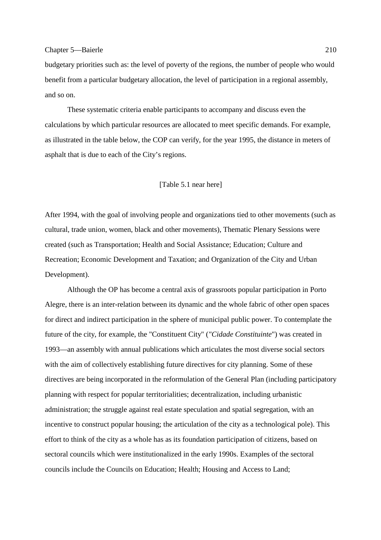budgetary priorities such as: the level of poverty of the regions, the number of people who would benefit from a particular budgetary allocation, the level of participation in a regional assembly, and so on.

 These systematic criteria enable participants to accompany and discuss even the calculations by which particular resources are allocated to meet specific demands. For example, as illustrated in the table below, the COP can verify, for the year 1995, the distance in meters of asphalt that is due to each of the City's regions.

# [Table 5.1 near here]

After 1994, with the goal of involving people and organizations tied to other movements (such as cultural, trade union, women, black and other movements), Thematic Plenary Sessions were created (such as Transportation; Health and Social Assistance; Education; Culture and Recreation; Economic Development and Taxation; and Organization of the City and Urban Development).

 Although the OP has become a central axis of grassroots popular participation in Porto Alegre, there is an inter-relation between its dynamic and the whole fabric of other open spaces for direct and indirect participation in the sphere of municipal public power. To contemplate the future of the city, for example, the "Constituent City" (*"Cidade Constituinte*") was created in 1993—an assembly with annual publications which articulates the most diverse social sectors with the aim of collectively establishing future directives for city planning. Some of these directives are being incorporated in the reformulation of the General Plan (including participatory planning with respect for popular territorialities; decentralization, including urbanistic administration; the struggle against real estate speculation and spatial segregation, with an incentive to construct popular housing; the articulation of the city as a technological pole). This effort to think of the city as a whole has as its foundation participation of citizens, based on sectoral councils which were institutionalized in the early 1990s. Examples of the sectoral councils include the Councils on Education; Health; Housing and Access to Land;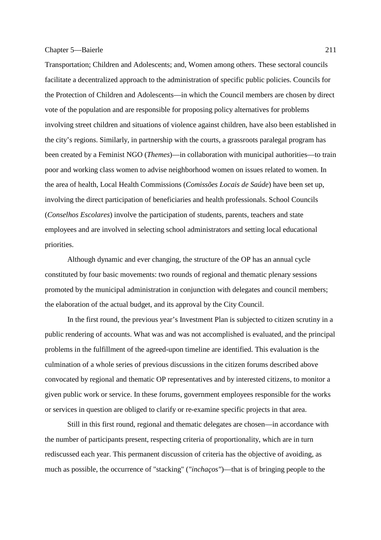Transportation; Children and Adolescents; and, Women among others. These sectoral councils facilitate a decentralized approach to the administration of specific public policies. Councils for the Protection of Children and Adolescents—in which the Council members are chosen by direct vote of the population and are responsible for proposing policy alternatives for problems involving street children and situations of violence against children, have also been established in the city's regions. Similarly, in partnership with the courts, a grassroots paralegal program has been created by a Feminist NGO (*Themes*)—in collaboration with municipal authorities—to train poor and working class women to advise neighborhood women on issues related to women. In the area of health, Local Health Commissions (*Comissões Locais de Saúde*) have been set up, involving the direct participation of beneficiaries and health professionals. School Councils (*Conselhos Escolares*) involve the participation of students, parents, teachers and state employees and are involved in selecting school administrators and setting local educational priorities.

 Although dynamic and ever changing, the structure of the OP has an annual cycle constituted by four basic movements: two rounds of regional and thematic plenary sessions promoted by the municipal administration in conjunction with delegates and council members; the elaboration of the actual budget, and its approval by the City Council.

 In the first round, the previous year's Investment Plan is subjected to citizen scrutiny in a public rendering of accounts. What was and was not accomplished is evaluated, and the principal problems in the fulfillment of the agreed-upon timeline are identified. This evaluation is the culmination of a whole series of previous discussions in the citizen forums described above convocated by regional and thematic OP representatives and by interested citizens, to monitor a given public work or service. In these forums, government employees responsible for the works or services in question are obliged to clarify or re-examine specific projects in that area.

 Still in this first round, regional and thematic delegates are chosen—in accordance with the number of participants present, respecting criteria of proportionality, which are in turn rediscussed each year. This permanent discussion of criteria has the objective of avoiding, as much as possible, the occurrence of "stacking" (*"inchaços"*)—that is of bringing people to the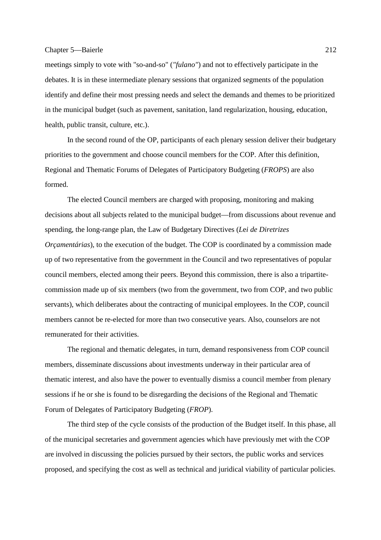meetings simply to vote with "so-and-so" (*"fulano"*) and not to effectively participate in the debates. It is in these intermediate plenary sessions that organized segments of the population identify and define their most pressing needs and select the demands and themes to be prioritized in the municipal budget (such as pavement, sanitation, land regularization, housing, education, health, public transit, culture, etc.).

 In the second round of the OP, participants of each plenary session deliver their budgetary priorities to the government and choose council members for the COP. After this definition, Regional and Thematic Forums of Delegates of Participatory Budgeting (*FROPS*) are also formed.

 The elected Council members are charged with proposing, monitoring and making decisions about all subjects related to the municipal budget—from discussions about revenue and spending, the long-range plan, the Law of Budgetary Directives (*L*e*i de Diretrizes Orcamentárias*), to the execution of the budget. The COP is coordinated by a commission made up of two representative from the government in the Council and two representatives of popular council members, elected among their peers. Beyond this commission, there is also a tripartitecommission made up of six members (two from the government, two from COP, and two public servants), which deliberates about the contracting of municipal employees. In the COP, council members cannot be re-elected for more than two consecutive years. Also, counselors are not remunerated for their activities.

 The regional and thematic delegates, in turn, demand responsiveness from COP council members, disseminate discussions about investments underway in their particular area of thematic interest, and also have the power to eventually dismiss a council member from plenary sessions if he or she is found to be disregarding the decisions of the Regional and Thematic Forum of Delegates of Participatory Budgeting (*FROP*).

 The third step of the cycle consists of the production of the Budget itself. In this phase, all of the municipal secretaries and government agencies which have previously met with the COP are involved in discussing the policies pursued by their sectors, the public works and services proposed, and specifying the cost as well as technical and juridical viability of particular policies.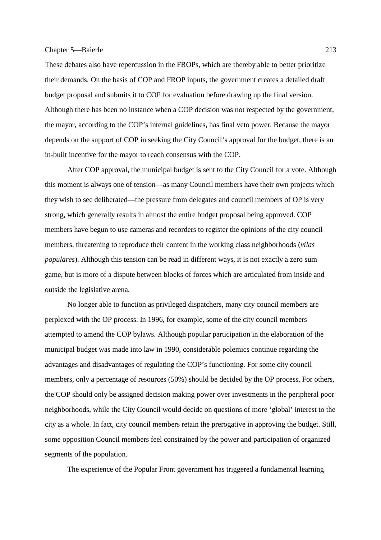These debates also have repercussion in the FROPs, which are thereby able to better prioritize their demands. On the basis of COP and FROP inputs, the government creates a detailed draft budget proposal and submits it to COP for evaluation before drawing up the final version. Although there has been no instance when a COP decision was not respected by the government, the mayor, according to the COP's internal guidelines, has final veto power. Because the mayor depends on the support of COP in seeking the City Council's approval for the budget, there is an in-built incentive for the mayor to reach consensus with the COP.

 After COP approval, the municipal budget is sent to the City Council for a vote. Although this moment is always one of tension—as many Council members have their own projects which they wish to see deliberated—the pressure from delegates and council members of OP is very strong, which generally results in almost the entire budget proposal being approved. COP members have begun to use cameras and recorders to register the opinions of the city council members, threatening to reproduce their content in the working class neighborhoods (*vilas populares*). Although this tension can be read in different ways, it is not exactly a zero sum game, but is more of a dispute between blocks of forces which are articulated from inside and outside the legislative arena.

 No longer able to function as privileged dispatchers, many city council members are perplexed with the OP process. In 1996, for example, some of the city council members attempted to amend the COP bylaws*.* Although popular participation in the elaboration of the municipal budget was made into law in 1990, considerable polemics continue regarding the advantages and disadvantages of regulating the COP's functioning. For some city council members, only a percentage of resources (50%) should be decided by the OP process. For others, the COP should only be assigned decision making power over investments in the peripheral poor neighborhoods, while the City Council would decide on questions of more 'global' interest to the city as a whole. In fact, city council members retain the prerogative in approving the budget. Still, some opposition Council members feel constrained by the power and participation of organized segments of the population.

The experience of the Popular Front government has triggered a fundamental learning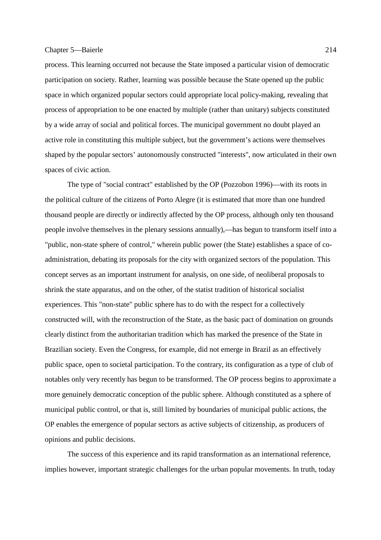process. This learning occurred not because the State imposed a particular vision of democratic participation on society. Rather, learning was possible because the State opened up the public space in which organized popular sectors could appropriate local policy-making, revealing that process of appropriation to be one enacted by multiple (rather than unitary) subjects constituted by a wide array of social and political forces. The municipal government no doubt played an active role in constituting this multiple subject, but the government's actions were themselves shaped by the popular sectors' autonomously constructed "interests", now articulated in their own spaces of civic action.

 The type of "social contract" established by the OP (Pozzobon 1996)—with its roots in the political culture of the citizens of Porto Alegre (it is estimated that more than one hundred thousand people are directly or indirectly affected by the OP process, although only ten thousand people involve themselves in the plenary sessions annually),—has begun to transform itself into a "public, non-state sphere of control," wherein public power (the State) establishes a space of coadministration, debating its proposals for the city with organized sectors of the population. This concept serves as an important instrument for analysis, on one side, of neoliberal proposals to shrink the state apparatus, and on the other, of the statist tradition of historical socialist experiences. This "non-state" public sphere has to do with the respect for a collectively constructed will, with the reconstruction of the State, as the basic pact of domination on grounds clearly distinct from the authoritarian tradition which has marked the presence of the State in Brazilian society. Even the Congress, for example, did not emerge in Brazil as an effectively public space, open to societal participation. To the contrary, its configuration as a type of club of notables only very recently has begun to be transformed. The OP process begins to approximate a more genuinely democratic conception of the public sphere. Although constituted as a sphere of municipal public control, or that is, still limited by boundaries of municipal public actions, the OP enables the emergence of popular sectors as active subjects of citizenship, as producers of opinions and public decisions.

 The success of this experience and its rapid transformation as an international reference, implies however, important strategic challenges for the urban popular movements. In truth, today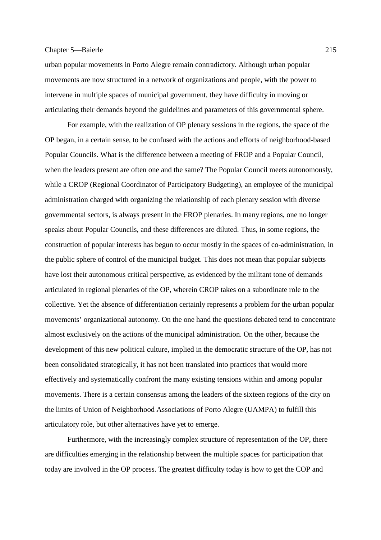urban popular movements in Porto Alegre remain contradictory. Although urban popular movements are now structured in a network of organizations and people, with the power to intervene in multiple spaces of municipal government, they have difficulty in moving or articulating their demands beyond the guidelines and parameters of this governmental sphere.

 For example, with the realization of OP plenary sessions in the regions, the space of the OP began, in a certain sense, to be confused with the actions and efforts of neighborhood-based Popular Councils. What is the difference between a meeting of FROP and a Popular Council, when the leaders present are often one and the same? The Popular Council meets autonomously, while a CROP (Regional Coordinator of Participatory Budgeting), an employee of the municipal administration charged with organizing the relationship of each plenary session with diverse governmental sectors, is always present in the FROP plenaries. In many regions, one no longer speaks about Popular Councils, and these differences are diluted. Thus, in some regions, the construction of popular interests has begun to occur mostly in the spaces of co-administration, in the public sphere of control of the municipal budget. This does not mean that popular subjects have lost their autonomous critical perspective, as evidenced by the militant tone of demands articulated in regional plenaries of the OP, wherein CROP takes on a subordinate role to the collective. Yet the absence of differentiation certainly represents a problem for the urban popular movements' organizational autonomy. On the one hand the questions debated tend to concentrate almost exclusively on the actions of the municipal administration. On the other, because the development of this new political culture, implied in the democratic structure of the OP, has not been consolidated strategically, it has not been translated into practices that would more effectively and systematically confront the many existing tensions within and among popular movements. There is a certain consensus among the leaders of the sixteen regions of the city on the limits of Union of Neighborhood Associations of Porto Alegre (UAMPA) to fulfill this articulatory role, but other alternatives have yet to emerge.

 Furthermore, with the increasingly complex structure of representation of the OP, there are difficulties emerging in the relationship between the multiple spaces for participation that today are involved in the OP process. The greatest difficulty today is how to get the COP and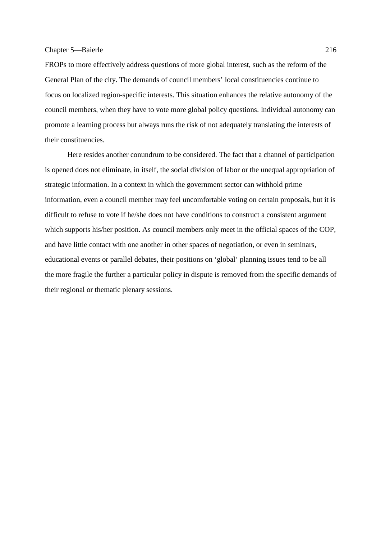FROPs to more effectively address questions of more global interest, such as the reform of the General Plan of the city. The demands of council members' local constituencies continue to focus on localized region-specific interests. This situation enhances the relative autonomy of the council members, when they have to vote more global policy questions. Individual autonomy can promote a learning process but always runs the risk of not adequately translating the interests of their constituencies.

 Here resides another conundrum to be considered. The fact that a channel of participation is opened does not eliminate, in itself, the social division of labor or the unequal appropriation of strategic information. In a context in which the government sector can withhold prime information, even a council member may feel uncomfortable voting on certain proposals, but it is difficult to refuse to vote if he/she does not have conditions to construct a consistent argument which supports his/her position. As council members only meet in the official spaces of the COP, and have little contact with one another in other spaces of negotiation, or even in seminars, educational events or parallel debates, their positions on 'global' planning issues tend to be all the more fragile the further a particular policy in dispute is removed from the specific demands of their regional or thematic plenary sessions.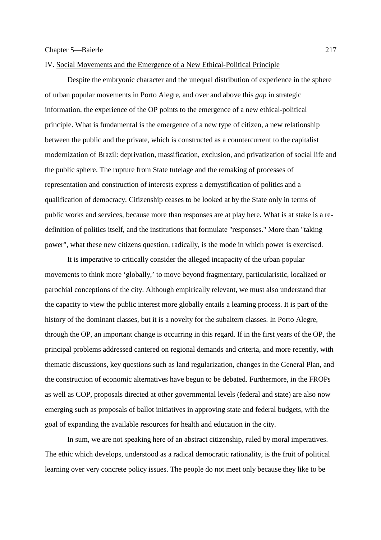# IV. Social Movements and the Emergence of a New Ethical-Political Principle

 Despite the embryonic character and the unequal distribution of experience in the sphere of urban popular movements in Porto Alegre, and over and above this *gap* in strategic information, the experience of the OP points to the emergence of a new ethical-political principle. What is fundamental is the emergence of a new type of citizen, a new relationship between the public and the private, which is constructed as a countercurrent to the capitalist modernization of Brazil: deprivation, massification, exclusion, and privatization of social life and the public sphere. The rupture from State tutelage and the remaking of processes of representation and construction of interests express a demystification of politics and a qualification of democracy. Citizenship ceases to be looked at by the State only in terms of public works and services, because more than responses are at play here. What is at stake is a redefinition of politics itself, and the institutions that formulate "responses." More than "taking power", what these new citizens question, radically, is the mode in which power is exercised.

 It is imperative to critically consider the alleged incapacity of the urban popular movements to think more 'globally,' to move beyond fragmentary, particularistic, localized or parochial conceptions of the city. Although empirically relevant, we must also understand that the capacity to view the public interest more globally entails a learning process. It is part of the history of the dominant classes, but it is a novelty for the subaltern classes. In Porto Alegre, through the OP, an important change is occurring in this regard. If in the first years of the OP, the principal problems addressed cantered on regional demands and criteria, and more recently, with thematic discussions, key questions such as land regularization, changes in the General Plan, and the construction of economic alternatives have begun to be debated. Furthermore, in the FROPs as well as COP, proposals directed at other governmental levels (federal and state) are also now emerging such as proposals of ballot initiatives in approving state and federal budgets, with the goal of expanding the available resources for health and education in the city.

 In sum, we are not speaking here of an abstract citizenship, ruled by moral imperatives. The ethic which develops, understood as a radical democratic rationality, is the fruit of political learning over very concrete policy issues. The people do not meet only because they like to be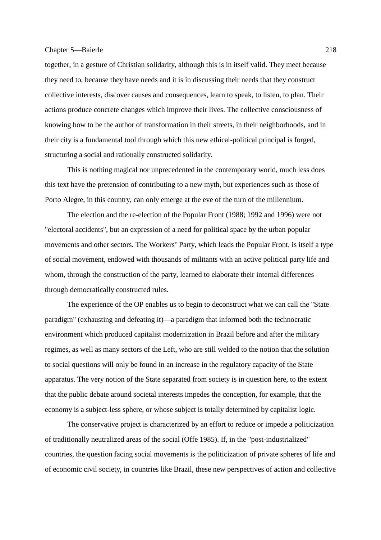together, in a gesture of Christian solidarity, although this is in itself valid. They meet because they need to, because they have needs and it is in discussing their needs that they construct collective interests, discover causes and consequences, learn to speak, to listen, to plan. Their actions produce concrete changes which improve their lives. The collective consciousness of knowing how to be the author of transformation in their streets, in their neighborhoods, and in their city is a fundamental tool through which this new ethical-political principal is forged, structuring a social and rationally constructed solidarity.

 This is nothing magical nor unprecedented in the contemporary world, much less does this text have the pretension of contributing to a new myth, but experiences such as those of Porto Alegre, in this country, can only emerge at the eve of the turn of the millennium.

 The election and the re-election of the Popular Front (1988; 1992 and 1996) were not "electoral accidents", but an expression of a need for political space by the urban popular movements and other sectors. The Workers' Party, which leads the Popular Front, is itself a type of social movement, endowed with thousands of militants with an active political party life and whom, through the construction of the party, learned to elaborate their internal differences through democratically constructed rules.

 The experience of the OP enables us to begin to deconstruct what we can call the "State paradigm" (exhausting and defeating it)—a paradigm that informed both the technocratic environment which produced capitalist modernization in Brazil before and after the military regimes, as well as many sectors of the Left, who are still welded to the notion that the solution to social questions will only be found in an increase in the regulatory capacity of the State apparatus. The very notion of the State separated from society is in question here, to the extent that the public debate around societal interests impedes the conception, for example, that the economy is a subject-less sphere, or whose subject is totally determined by capitalist logic.

 The conservative project is characterized by an effort to reduce or impede a politicization of traditionally neutralized areas of the social (Offe 1985). If, in the "post-industrialized" countries, the question facing social movements is the politicization of private spheres of life and of economic civil society, in countries like Brazil, these new perspectives of action and collective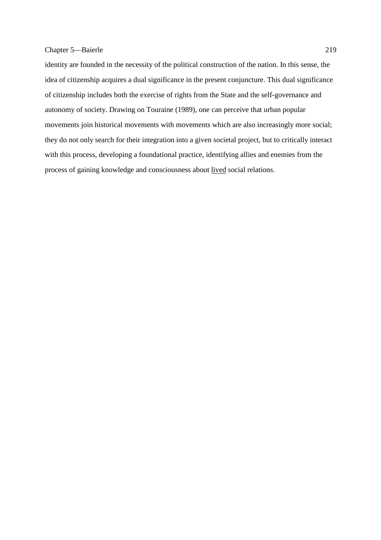identity are founded in the necessity of the political construction of the nation. In this sense, the idea of citizenship acquires a dual significance in the present conjuncture. This dual significance of citizenship includes both the exercise of rights from the State and the self-governance and autonomy of society. Drawing on Touraine (1989), one can perceive that urban popular movements join historical movements with movements which are also increasingly more social; they do not only search for their integration into a given societal project, but to critically interact with this process, developing a foundational practice, identifying allies and enemies from the process of gaining knowledge and consciousness about lived social relations.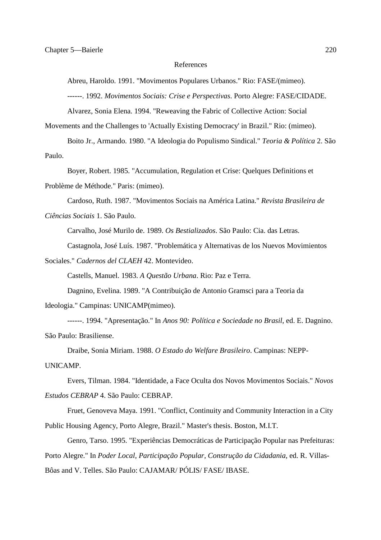#### References

Abreu, Haroldo. 1991. "Movimentos Populares Urbanos." Rio: FASE/(mimeo).

------. 1992. *Movimentos Sociais: Crise e Perspectivas*. Porto Alegre: FASE/CIDADE.

Alvarez, Sonia Elena. 1994. "Reweaving the Fabric of Collective Action: Social

Movements and the Challenges to 'Actually Existing Democracy' in Brazil." Rio: (mimeo).

 Boito Jr., Armando. 1980. "A Ideologia do Populismo Sindical." *Teoria & Política* 2. São Paulo.

Boyer, Robert. 1985. "Accumulation, Regulation et Crise: Quelques Definitions et

Problème de Méthode." Paris: (mimeo).

 Cardoso, Ruth. 1987. "Movimentos Sociais na América Latina." *Revista Brasileira de Ciências Sociais* 1. São Paulo.

Carvalho, José Murilo de. 1989. *Os Bestializados*. São Paulo: Cia. das Letras.

Castagnola, José Luís. 1987. "Problemática y Alternativas de los Nuevos Movimientos

Sociales." *Cadernos del CLAEH* 42. Montevideo.

Castells, Manuel. 1983. *A Questão Urbana*. Rio: Paz e Terra.

 Dagnino, Evelina. 1989. "A Contribuição de Antonio Gramsci para a Teoria da Ideologia." Campinas: UNICAMP(mimeo).

 ------. 1994. "Apresentação." In *Anos 90: Política e Sociedade no Brasil*, ed. E. Dagnino. São Paulo: Brasiliense.

 Draibe, Sonia Miriam. 1988. *O Estado do Welfare Brasileiro*. Campinas: NEPP-UNICAMP.

 Evers, Tilman. 1984. "Identidade, a Face Oculta dos Novos Movimentos Sociais." *Novos Estudos CEBRAP* 4. São Paulo: CEBRAP.

 Fruet, Genoveva Maya. 1991. "Conflict, Continuity and Community Interaction in a City Public Housing Agency, Porto Alegre, Brazil." Master's thesis. Boston, M.I.T.

Genro, Tarso. 1995. "Experiências Democráticas de Participação Popular nas Prefeituras:

Porto Alegre." In *Poder Local, Participação Popular, Construção da Cidadania*, ed. R. Villas-

Bôas and V. Telles. São Paulo: CAJAMAR/ PÓLIS/ FASE/ IBASE.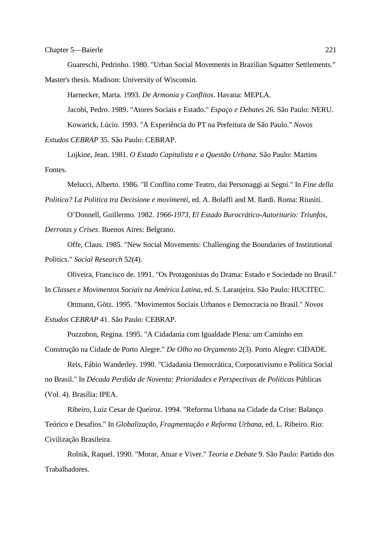Guareschi, Pedrinho. 1980. "Urban Social Movements in Brazilian Squatter Settlements." Master's thesis. Madison: University of Wisconsin.

Harnecker, Marta. 1993. *De Armonia y Conflitos*. Havana: MEPLA.

 Jacobi, Pedro. 1989. "Atores Sociais e Estado." *Espaço e Debates* 26. São Paulo: NERU. Kowarick, Lúcio. 1993. "A Experiência do PT na Prefeitura de São Paulo." *Novos Estudos CEBRAP* 35. São Paulo: CEBRAP.

 Lojkine, Jean. 1981. *O Estado Capitalista e a Questão Urbana*. São Paulo: Martins Fontes.

 Melucci, Alberto. 1986. "Il Conflito come Teatro, dai Personaggi ai Segni." In *Fine della Politica? La Politica tra Decisione e movimenti*, ed. A. Bolaffi and M. Ilardi. Roma: Riuniti.

 O'Donnell, Guillermo. 1982. *1966-1973, El Estado Burocrático-Autoritario: Triunfos, Derrotas y Crises*. Buenos Aires: Belgrano.

 Offe, Claus. 1985. "New Social Movements: Challenging the Boundaries of Institutional Politics." *Social Research* 52(4).

Oliveira, Francisco de. 1991. "Os Protagonistas do Drama: Estado e Sociedade no Brasil."

In *Classes e Movimentos Sociais na América Latina*, ed. S. Laranjeira. São Paulo: HUCITEC.

 Ottmann, Götz. 1995. "Movimentos Sociais Urbanos e Democracia no Brasil." *Novos Estudos CEBRAP* 41. São Paulo: CEBRAP.

Pozzobon, Regina. 1995. "A Cidadania com Igualdade Plena: um Caminho em

Construção na Cidade de Porto Alegre." *De Olho no Orçamento* 2(3). Porto Alegre: CIDADE.

 Reis, Fábio Wanderley. 1990. "Cidadania Democrática, Corporativismo e Política Social no Brasil." In *Década Perdida de Noventa: Prioridades e Perspectivas de Políticas* Públicas (Vol. 4). Brasília: IPEA.

 Ribeiro, Luiz Cesar de Queiroz. 1994. "Reforma Urbana na Cidade da Crise: Balanço Teórico e Desafios." In *Globalização, Fragmentação e Reforma Urbana*, ed. L. Ribeiro. Rio: Civilização Brasileira.

 Rolnik, Raquel. 1990. "Morar, Atuar e Viver." *Teoria e Debate* 9. São Paulo: Partido dos Trabalhadores.